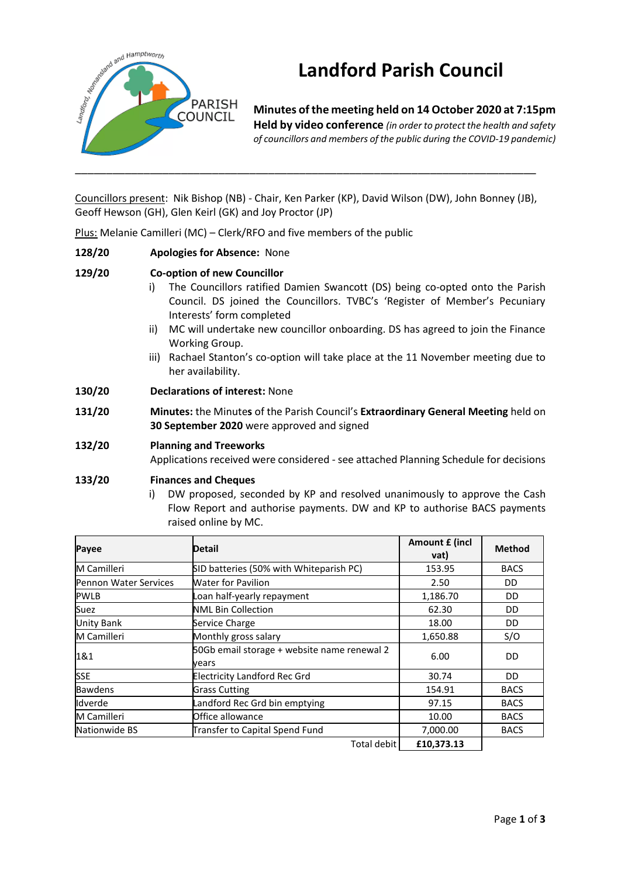

# **Landford Parish Council**

**Minutes of the meeting held on 14 October 2020 at 7:15pm Held by video conference** *(in order to protect the health and safety of councillors and members of the public during the COVID-19 pandemic)* 

Councillors present: Nik Bishop (NB) - Chair, Ken Parker (KP), David Wilson (DW), John Bonney (JB), Geoff Hewson (GH), Glen Keirl (GK) and Joy Proctor (JP)

Plus: Melanie Camilleri (MC) – Clerk/RFO and five members of the public

#### **128/20 Apologies for Absence:** None

#### **129/20 Co-option of new Councillor**

- i) The Councillors ratified Damien Swancott (DS) being co-opted onto the Parish Council. DS joined the Councillors. TVBC's 'Register of Member's Pecuniary Interests' form completed
- ii) MC will undertake new councillor onboarding. DS has agreed to join the Finance Working Group.
- iii) Rachael Stanton's co-option will take place at the 11 November meeting due to her availability.
- **130/20 Declarations of interest:** None
- **131/20 Minutes:** the Minute**s** of the Parish Council's **Extraordinary General Meeting** held on **30 September 2020** were approved and signed

#### **132/20 Planning and Treeworks**

Applications received were considered - see attached Planning Schedule for decisions

#### **133/20 Finances and Cheques**

i) DW proposed, seconded by KP and resolved unanimously to approve the Cash Flow Report and authorise payments. DW and KP to authorise BACS payments raised online by MC.

| Payee                        | <b>Detail</b>                                        | Amount £ (incl<br>vat) | <b>Method</b> |
|------------------------------|------------------------------------------------------|------------------------|---------------|
| M Camilleri                  | SID batteries (50% with Whiteparish PC)              | 153.95                 | <b>BACS</b>   |
| <b>Pennon Water Services</b> | Water for Pavilion                                   | 2.50                   | DD            |
| <b>PWLB</b>                  | Loan half-yearly repayment                           | 1,186.70               | DD            |
| Suez                         | <b>NML Bin Collection</b>                            | 62.30                  | DD            |
| <b>Unity Bank</b>            | Service Charge                                       | 18.00                  | DD            |
| M Camilleri                  | Monthly gross salary                                 | 1,650.88               | S/O           |
| 1&1                          | 50Gb email storage + website name renewal 2<br>vears | 6.00                   | DD            |
| <b>SSE</b>                   | <b>Electricity Landford Rec Grd</b>                  | 30.74                  | DD            |
| <b>Bawdens</b>               | <b>Grass Cutting</b>                                 | 154.91                 | <b>BACS</b>   |
| Idverde                      | Landford Rec Grd bin emptying                        | 97.15                  | <b>BACS</b>   |
| M Camilleri                  | Office allowance                                     | 10.00                  | <b>BACS</b>   |
| Nationwide BS                | Transfer to Capital Spend Fund                       | 7,000.00               | <b>BACS</b>   |
|                              | Total debit                                          | £10,373.13             |               |

Page **1** of **3**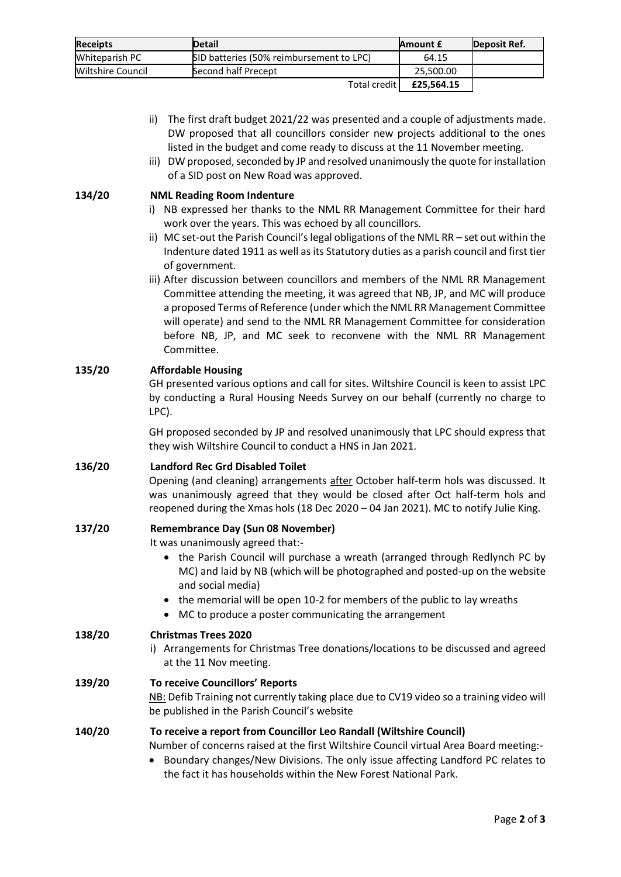| <b>Receipts</b>   | <b>Detail</b>                            | <b>Amount £</b> | Deposit Ref. |
|-------------------|------------------------------------------|-----------------|--------------|
| Whiteparish PC    | SID batteries (50% reimbursement to LPC) | 64.15           |              |
| Wiltshire Council | Second half Precept                      | 25.500.00       |              |
|                   | Total credit                             | £25.564.15      |              |

- ii) The first draft budget 2021/22 was presented and a couple of adjustments made. DW proposed that all councillors consider new projects additional to the ones listed in the budget and come ready to discuss at the 11 November meeting.
- iii) DW proposed, seconded by JP and resolved unanimously the quote for installation of a SID post on New Road was approved.

# **134/20 NML Reading Room Indenture**

- i) NB expressed her thanks to the NML RR Management Committee for their hard work over the years. This was echoed by all councillors.
- ii) MC set-out the Parish Council's legal obligations of the NML RR set out within the Indenture dated 1911 as well as its Statutory duties as a parish council and first tier of government.
- iii) After discussion between councillors and members of the NML RR Management Committee attending the meeting, it was agreed that NB, JP, and MC will produce a proposed Terms of Reference (under which the NML RR Management Committee will operate) and send to the NML RR Management Committee for consideration before NB, JP, and MC seek to reconvene with the NML RR Management Committee.

# **135/20 Affordable Housing**

GH presented various options and call for sites. Wiltshire Council is keen to assist LPC by conducting a Rural Housing Needs Survey on our behalf (currently no charge to LPC).

GH proposed seconded by JP and resolved unanimously that LPC should express that they wish Wiltshire Council to conduct a HNS in Jan 2021.

#### **136/20 Landford Rec Grd Disabled Toilet**

Opening (and cleaning) arrangements after October half-term hols was discussed. It was unanimously agreed that they would be closed after Oct half-term hols and reopened during the Xmas hols (18 Dec 2020 – 04 Jan 2021). MC to notify Julie King.

#### **137/20 Remembrance Day (Sun 08 November)**

It was unanimously agreed that:-

- the Parish Council will purchase a wreath (arranged through Redlynch PC by MC) and laid by NB (which will be photographed and posted-up on the website and social media)
- the memorial will be open 10-2 for members of the public to lay wreaths
- MC to produce a poster communicating the arrangement

# **138/20 Christmas Trees 2020**

i) Arrangements for Christmas Tree donations/locations to be discussed and agreed at the 11 Nov meeting.

# **139/20 To receive Councillors' Reports** NB: Defib Training not currently taking place due to CV19 video so a training video will be published in the Parish Council's website

# **140/20 To receive a report from Councillor Leo Randall (Wiltshire Council)**

Number of concerns raised at the first Wiltshire Council virtual Area Board meeting:- • Boundary changes/New Divisions. The only issue affecting Landford PC relates to the fact it has households within the New Forest National Park.